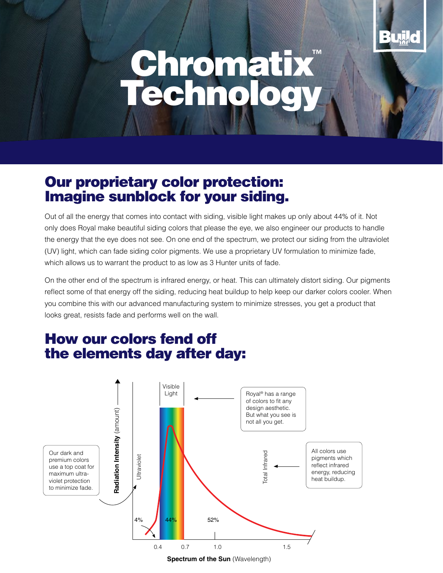# Chromatix™ Technology

## Our proprietary color protection: Imagine sunblock for your siding.

Out of all the energy that comes into contact with siding, visible light makes up only about 44% of it. Not only does Royal make beautiful siding colors that please the eye, we also engineer our products to handle the energy that the eye does not see. On one end of the spectrum, we protect our siding from the ultraviolet (UV) light, which can fade siding color pigments. We use a proprietary UV formulation to minimize fade, which allows us to warrant the product to as low as 3 Hunter units of fade.

On the other end of the spectrum is infrared energy, or heat. This can ultimately distort siding. Our pigments reflect some of that energy off the siding, reducing heat buildup to help keep our darker colors cooler. When you combine this with our advanced manufacturing system to minimize stresses, you get a product that looks great, resists fade and performs well on the wall.

# How our colors fend off the elements day after day:



**Spectrum of the Sun** (Wavelength)